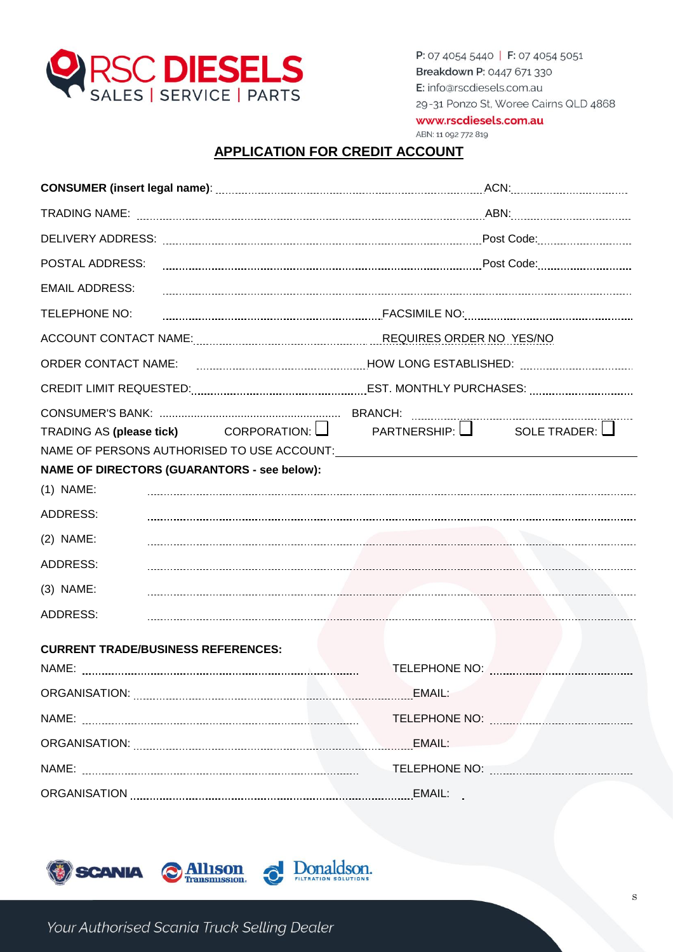

www.rscdiesels.com.au

# ABN: 11 092 772 819

# **APPLICATION FOR CREDIT ACCOUNT**

| POSTAL ADDRESS:                                                                      |                                                                                                                      |  |  |  |
|--------------------------------------------------------------------------------------|----------------------------------------------------------------------------------------------------------------------|--|--|--|
| <b>EMAIL ADDRESS:</b>                                                                |                                                                                                                      |  |  |  |
| TELEPHONE NO:                                                                        |                                                                                                                      |  |  |  |
| ACCOUNT CONTACT NAME: CONSERVANCE REQUIRES ORDER NO. YES/NO                          |                                                                                                                      |  |  |  |
| <b>ORDER CONTACT NAME:</b>                                                           |                                                                                                                      |  |  |  |
|                                                                                      | CREDIT LIMIT REQUESTED: [2012] CREDIT LIMIT REQUESTED: [2012] CREDIT LIMIT REQUESTED: [2013] CREDIT LIMIT REQUESTED: |  |  |  |
| TRADING AS (please tick) CORPORATION: $\Box$ PARTNERSHIP: $\Box$ SOLE TRADER: $\Box$ |                                                                                                                      |  |  |  |
| <b>NAME OF DIRECTORS (GUARANTORS - see below):</b>                                   |                                                                                                                      |  |  |  |
| $(1)$ NAME:                                                                          |                                                                                                                      |  |  |  |
| ADDRESS:                                                                             |                                                                                                                      |  |  |  |
| $(2)$ NAME:                                                                          |                                                                                                                      |  |  |  |
| ADDRESS:                                                                             |                                                                                                                      |  |  |  |
| $(3)$ NAME:                                                                          |                                                                                                                      |  |  |  |
| ADDRESS:                                                                             |                                                                                                                      |  |  |  |
| <b>CURRENT TRADE/BUSINESS REFERENCES:</b>                                            |                                                                                                                      |  |  |  |
|                                                                                      |                                                                                                                      |  |  |  |
|                                                                                      |                                                                                                                      |  |  |  |
|                                                                                      |                                                                                                                      |  |  |  |
|                                                                                      |                                                                                                                      |  |  |  |
|                                                                                      |                                                                                                                      |  |  |  |
|                                                                                      |                                                                                                                      |  |  |  |

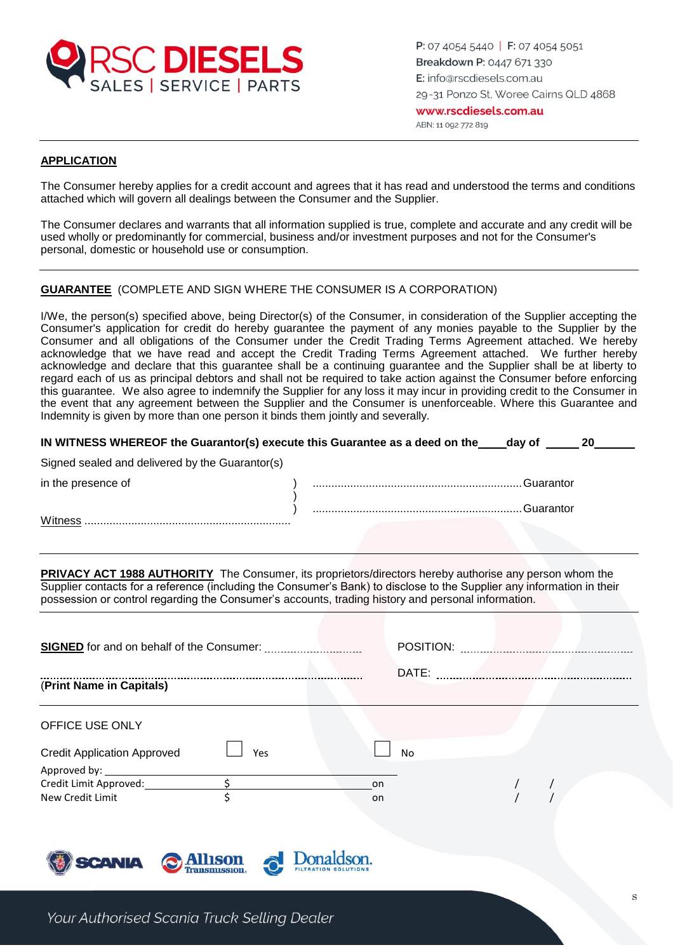

Witness ..................................................................

P: 07 4054 5440 | F: 07 4054 5051 Breakdown P: 0447 671 330 E: info@rscdiesels.com.au 29-31 Ponzo St, Woree Cairns QLD 4868 www.rscdiesels.com.au ABN: 11 092 772 819

### **APPLICATION**

The Consumer hereby applies for a credit account and agrees that it has read and understood the terms and conditions attached which will govern all dealings between the Consumer and the Supplier.

The Consumer declares and warrants that all information supplied is true, complete and accurate and any credit will be used wholly or predominantly for commercial, business and/or investment purposes and not for the Consumer's personal, domestic or household use or consumption.

## **GUARANTEE** (COMPLETE AND SIGN WHERE THE CONSUMER IS A CORPORATION)

I/We, the person(s) specified above, being Director(s) of the Consumer, in consideration of the Supplier accepting the Consumer's application for credit do hereby guarantee the payment of any monies payable to the Supplier by the Consumer and all obligations of the Consumer under the Credit Trading Terms Agreement attached. We hereby acknowledge that we have read and accept the Credit Trading Terms Agreement attached. We further hereby acknowledge and declare that this guarantee shall be a continuing guarantee and the Supplier shall be at liberty to regard each of us as principal debtors and shall not be required to take action against the Consumer before enforcing this guarantee. We also agree to indemnify the Supplier for any loss it may incur in providing credit to the Consumer in the event that any agreement between the Supplier and the Consumer is unenforceable. Where this Guarantee and Indemnity is given by more than one person it binds them jointly and severally.

| IN WITNESS WHEREOF the Guarantor(s) execute this Guarantee as a deed on the<br>-20<br>dav of |             |  |  |  |
|----------------------------------------------------------------------------------------------|-------------|--|--|--|
| Signed sealed and delivered by the Guarantor(s)                                              |             |  |  |  |
| in the presence of                                                                           | .Guarantor. |  |  |  |
|                                                                                              | .Guarantor. |  |  |  |

**PRIVACY ACT 1988 AUTHORITY** The Consumer, its proprietors/directors hereby authorise any person whom the Supplier contacts for a reference (including the Consumer's Bank) to disclose to the Supplier any information in their possession or control regarding the Consumer's accounts, trading history and personal information.

|                                    |         | POSITION:  |  |  |
|------------------------------------|---------|------------|--|--|
| (Print Name in Capitals)           |         |            |  |  |
| OFFICE USE ONLY                    |         |            |  |  |
| <b>Credit Application Approved</b> | Yes     | No.        |  |  |
|                                    |         |            |  |  |
| New Credit Limit                   |         | on<br>on   |  |  |
|                                    | Allison | Donaldson. |  |  |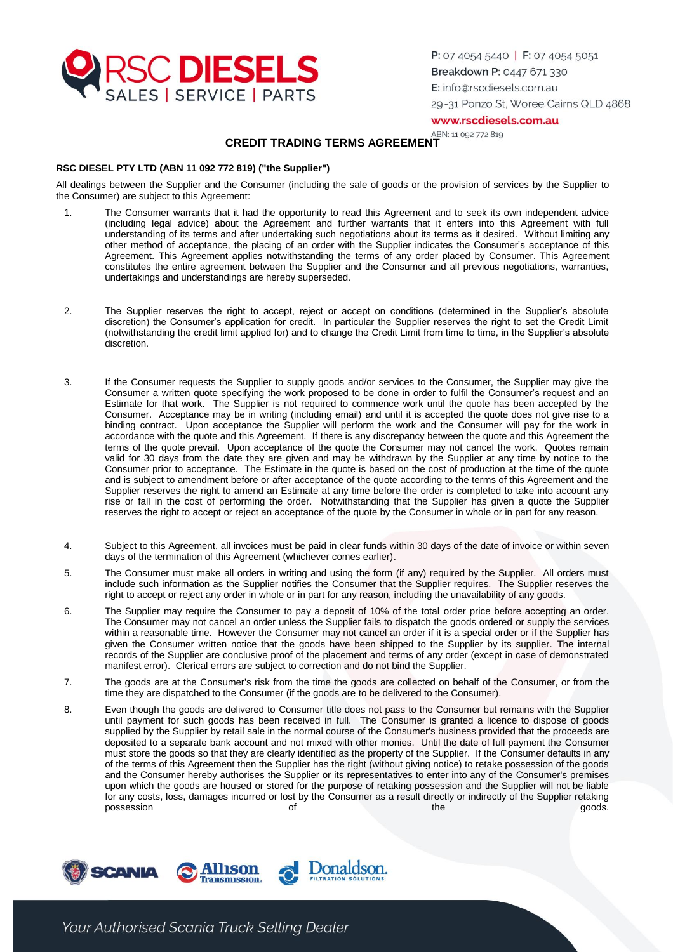

www.rscdiesels.com.au

ABN: 11 092 772 819

## **CREDIT TRADING TERMS AGREEMENT**

#### **RSC DIESEL PTY LTD (ABN 11 092 772 819) ("the Supplier")**

All dealings between the Supplier and the Consumer (including the sale of goods or the provision of services by the Supplier to the Consumer) are subject to this Agreement:

- 1. The Consumer warrants that it had the opportunity to read this Agreement and to seek its own independent advice (including legal advice) about the Agreement and further warrants that it enters into this Agreement with full understanding of its terms and after undertaking such negotiations about its terms as it desired. Without limiting any other method of acceptance, the placing of an order with the Supplier indicates the Consumer's acceptance of this Agreement. This Agreement applies notwithstanding the terms of any order placed by Consumer. This Agreement constitutes the entire agreement between the Supplier and the Consumer and all previous negotiations, warranties, undertakings and understandings are hereby superseded.
- 2. The Supplier reserves the right to accept, reject or accept on conditions (determined in the Supplier's absolute discretion) the Consumer's application for credit. In particular the Supplier reserves the right to set the Credit Limit (notwithstanding the credit limit applied for) and to change the Credit Limit from time to time, in the Supplier's absolute discretion.
- 3. If the Consumer requests the Supplier to supply goods and/or services to the Consumer, the Supplier may give the Consumer a written quote specifying the work proposed to be done in order to fulfil the Consumer's request and an Estimate for that work. The Supplier is not required to commence work until the quote has been accepted by the Consumer. Acceptance may be in writing (including email) and until it is accepted the quote does not give rise to a binding contract. Upon acceptance the Supplier will perform the work and the Consumer will pay for the work in accordance with the quote and this Agreement. If there is any discrepancy between the quote and this Agreement the terms of the quote prevail. Upon acceptance of the quote the Consumer may not cancel the work. Quotes remain valid for 30 days from the date they are given and may be withdrawn by the Supplier at any time by notice to the Consumer prior to acceptance. The Estimate in the quote is based on the cost of production at the time of the quote and is subject to amendment before or after acceptance of the quote according to the terms of this Agreement and the Supplier reserves the right to amend an Estimate at any time before the order is completed to take into account any rise or fall in the cost of performing the order. Notwithstanding that the Supplier has given a quote the Supplier reserves the right to accept or reject an acceptance of the quote by the Consumer in whole or in part for any reason.
- 4. Subject to this Agreement, all invoices must be paid in clear funds within 30 days of the date of invoice or within seven days of the termination of this Agreement (whichever comes earlier).
- 5. The Consumer must make all orders in writing and using the form (if any) required by the Supplier. All orders must include such information as the Supplier notifies the Consumer that the Supplier requires. The Supplier reserves the right to accept or reject any order in whole or in part for any reason, including the unavailability of any goods.
- 6. The Supplier may require the Consumer to pay a deposit of 10% of the total order price before accepting an order. The Consumer may not cancel an order unless the Supplier fails to dispatch the goods ordered or supply the services within a reasonable time. However the Consumer may not cancel an order if it is a special order or if the Supplier has given the Consumer written notice that the goods have been shipped to the Supplier by its supplier. The internal records of the Supplier are conclusive proof of the placement and terms of any order (except in case of demonstrated manifest error). Clerical errors are subject to correction and do not bind the Supplier.
- 7. The goods are at the Consumer's risk from the time the goods are collected on behalf of the Consumer, or from the time they are dispatched to the Consumer (if the goods are to be delivered to the Consumer).
- 8. Even though the goods are delivered to Consumer title does not pass to the Consumer but remains with the Supplier until payment for such goods has been received in full. The Consumer is granted a licence to dispose of goods supplied by the Supplier by retail sale in the normal course of the Consumer's business provided that the proceeds are deposited to a separate bank account and not mixed with other monies. Until the date of full payment the Consumer must store the goods so that they are clearly identified as the property of the Supplier. If the Consumer defaults in any of the terms of this Agreement then the Supplier has the right (without giving notice) to retake possession of the goods and the Consumer hereby authorises the Supplier or its representatives to enter into any of the Consumer's premises upon which the goods are housed or stored for the purpose of retaking possession and the Supplier will not be liable for any costs, loss, damages incurred or lost by the Consumer as a result directly or indirectly of the Supplier retaking possession and the goods. The goods of the settlement of the settlement of the goods.

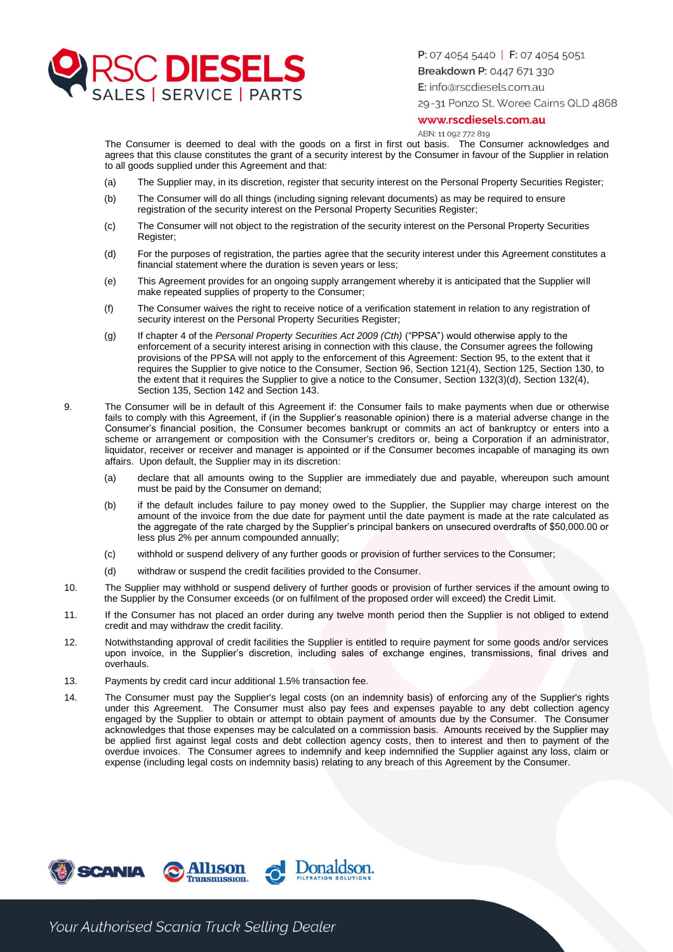

P: 07 4054 5440 | F: 07 4054 5051

Breakdown P: 0447 671 330

E: info@rscdiesels.com.au

29-31 Ponzo St, Woree Cairns QLD 4868

#### www.rscdiesels.com.au

ABN: 11 092 772 819

The Consumer is deemed to deal with the goods on a first in first out basis. The Consumer acknowledges and agrees that this clause constitutes the grant of a security interest by the Consumer in favour of the Supplier in relation to all goods supplied under this Agreement and that:

- (a) The Supplier may, in its discretion, register that security interest on the Personal Property Securities Register;
- (b) The Consumer will do all things (including signing relevant documents) as may be required to ensure registration of the security interest on the Personal Property Securities Register;
- (c) The Consumer will not object to the registration of the security interest on the Personal Property Securities Register;
- (d) For the purposes of registration, the parties agree that the security interest under this Agreement constitutes a financial statement where the duration is seven years or less;
- (e) This Agreement provides for an ongoing supply arrangement whereby it is anticipated that the Supplier will make repeated supplies of property to the Consumer;
- (f) The Consumer waives the right to receive notice of a verification statement in relation to any registration of security interest on the Personal Property Securities Register;
- (g) If chapter 4 of the *Personal Property Securities Act 2009 (Cth)* ("PPSA") would otherwise apply to the enforcement of a security interest arising in connection with this clause, the Consumer agrees the following provisions of the PPSA will not apply to the enforcement of this Agreement: Section 95, to the extent that it requires the Supplier to give notice to the Consumer, Section 96, Section 121(4), Section 125, Section 130, to the extent that it requires the Supplier to give a notice to the Consumer, Section 132(3)(d), Section 132(4), Section 135, Section 142 and Section 143.
- 9. The Consumer will be in default of this Agreement if: the Consumer fails to make payments when due or otherwise fails to comply with this Agreement, if (in the Supplier's reasonable opinion) there is a material adverse change in the Consumer's financial position, the Consumer becomes bankrupt or commits an act of bankruptcy or enters into a scheme or arrangement or composition with the Consumer's creditors or, being a Corporation if an administrator, liquidator, receiver or receiver and manager is appointed or if the Consumer becomes incapable of managing its own affairs. Upon default, the Supplier may in its discretion:
	- (a) declare that all amounts owing to the Supplier are immediately due and payable, whereupon such amount must be paid by the Consumer on demand;
	- (b) if the default includes failure to pay money owed to the Supplier, the Supplier may charge interest on the amount of the invoice from the due date for payment until the date payment is made at the rate calculated as the aggregate of the rate charged by the Supplier's principal bankers on unsecured overdrafts of \$50,000.00 or less plus 2% per annum compounded annually;
	- (c) withhold or suspend delivery of any further goods or provision of further services to the Consumer;
	- (d) withdraw or suspend the credit facilities provided to the Consumer.
- 10. The Supplier may withhold or suspend delivery of further goods or provision of further services if the amount owing to the Supplier by the Consumer exceeds (or on fulfilment of the proposed order will exceed) the Credit Limit.
- 11. If the Consumer has not placed an order during any twelve month period then the Supplier is not obliged to extend credit and may withdraw the credit facility.
- 12. Notwithstanding approval of credit facilities the Supplier is entitled to require payment for some goods and/or services upon invoice, in the Supplier's discretion, including sales of exchange engines, transmissions, final drives and overhauls.
- 13. Payments by credit card incur additional 1.5% transaction fee.
- 14. The Consumer must pay the Supplier's legal costs (on an indemnity basis) of enforcing any of the Supplier's rights under this Agreement. The Consumer must also pay fees and expenses payable to any debt collection agency engaged by the Supplier to obtain or attempt to obtain payment of amounts due by the Consumer. The Consumer acknowledges that those expenses may be calculated on a commission basis. Amounts received by the Supplier may be applied first against legal costs and debt collection agency costs, then to interest and then to payment of the overdue invoices. The Consumer agrees to indemnify and keep indemnified the Supplier against any loss, claim or expense (including legal costs on indemnity basis) relating to any breach of this Agreement by the Consumer.

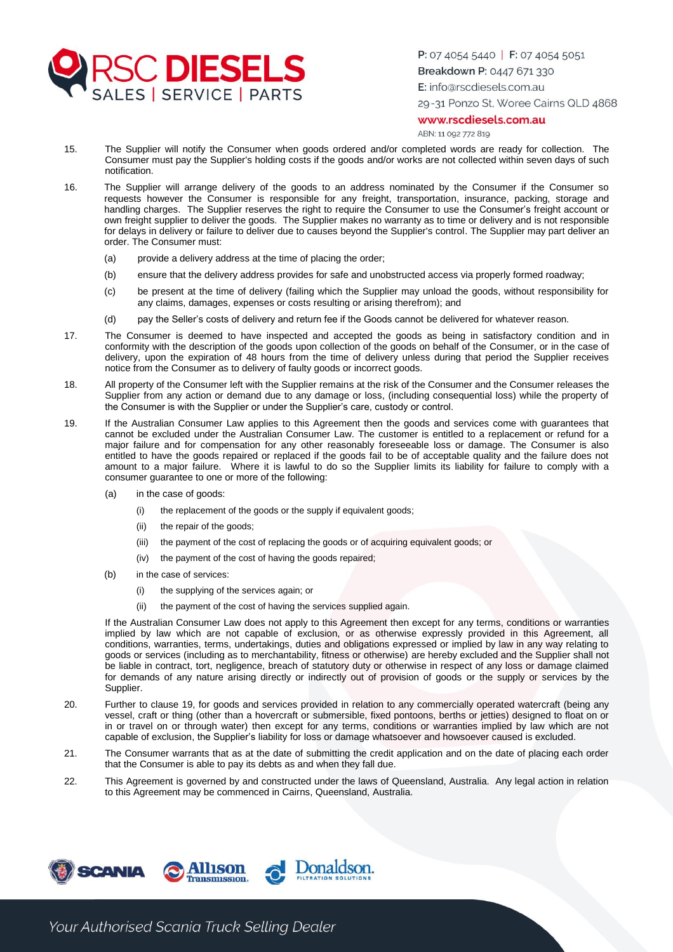

#### www.rscdiesels.com.au

ABN: 11 092 772 819

- 15. The Supplier will notify the Consumer when goods ordered and/or completed words are ready for collection. The Consumer must pay the Supplier's holding costs if the goods and/or works are not collected within seven days of such notification.
- 16. The Supplier will arrange delivery of the goods to an address nominated by the Consumer if the Consumer so requests however the Consumer is responsible for any freight, transportation, insurance, packing, storage and handling charges. The Supplier reserves the right to require the Consumer to use the Consumer's freight account or own freight supplier to deliver the goods. The Supplier makes no warranty as to time or delivery and is not responsible for delays in delivery or failure to deliver due to causes beyond the Supplier's control. The Supplier may part deliver an order. The Consumer must:
	- (a) provide a delivery address at the time of placing the order;
	- (b) ensure that the delivery address provides for safe and unobstructed access via properly formed roadway;
	- (c) be present at the time of delivery (failing which the Supplier may unload the goods, without responsibility for any claims, damages, expenses or costs resulting or arising therefrom); and
	- (d) pay the Seller's costs of delivery and return fee if the Goods cannot be delivered for whatever reason.
- 17. The Consumer is deemed to have inspected and accepted the goods as being in satisfactory condition and in conformity with the description of the goods upon collection of the goods on behalf of the Consumer, or in the case of delivery, upon the expiration of 48 hours from the time of delivery unless during that period the Supplier receives notice from the Consumer as to delivery of faulty goods or incorrect goods.
- 18. All property of the Consumer left with the Supplier remains at the risk of the Consumer and the Consumer releases the Supplier from any action or demand due to any damage or loss, (including consequential loss) while the property of the Consumer is with the Supplier or under the Supplier's care, custody or control.
- 19. If the Australian Consumer Law applies to this Agreement then the goods and services come with guarantees that cannot be excluded under the Australian Consumer Law. The customer is entitled to a replacement or refund for a major failure and for compensation for any other reasonably foreseeable loss or damage. The Consumer is also entitled to have the goods repaired or replaced if the goods fail to be of acceptable quality and the failure does not amount to a major failure. Where it is lawful to do so the Supplier limits its liability for failure to comply with a consumer guarantee to one or more of the following:
	- (a) in the case of goods:
		- (i) the replacement of the goods or the supply if equivalent goods;
		- (ii) the repair of the goods;
		- (iii) the payment of the cost of replacing the goods or of acquiring equivalent goods; or
		- (iv) the payment of the cost of having the goods repaired;
	- (b) in the case of services:
		- (i) the supplying of the services again; or
		- (ii) the payment of the cost of having the services supplied again.

If the Australian Consumer Law does not apply to this Agreement then except for any terms, conditions or warranties implied by law which are not capable of exclusion, or as otherwise expressly provided in this Agreement, all conditions, warranties, terms, undertakings, duties and obligations expressed or implied by law in any way relating to goods or services (including as to merchantability, fitness or otherwise) are hereby excluded and the Supplier shall not be liable in contract, tort, negligence, breach of statutory duty or otherwise in respect of any loss or damage claimed for demands of any nature arising directly or indirectly out of provision of goods or the supply or services by the Supplier.

- 20. Further to clause 19, for goods and services provided in relation to any commercially operated watercraft (being any vessel, craft or thing (other than a hovercraft or submersible, fixed pontoons, berths or jetties) designed to float on or in or travel on or through water) then except for any terms, conditions or warranties implied by law which are not capable of exclusion, the Supplier's liability for loss or damage whatsoever and howsoever caused is excluded.
- 21. The Consumer warrants that as at the date of submitting the credit application and on the date of placing each order that the Consumer is able to pay its debts as and when they fall due.
- 22. This Agreement is governed by and constructed under the laws of Queensland, Australia. Any legal action in relation to this Agreement may be commenced in Cairns, Queensland, Australia.